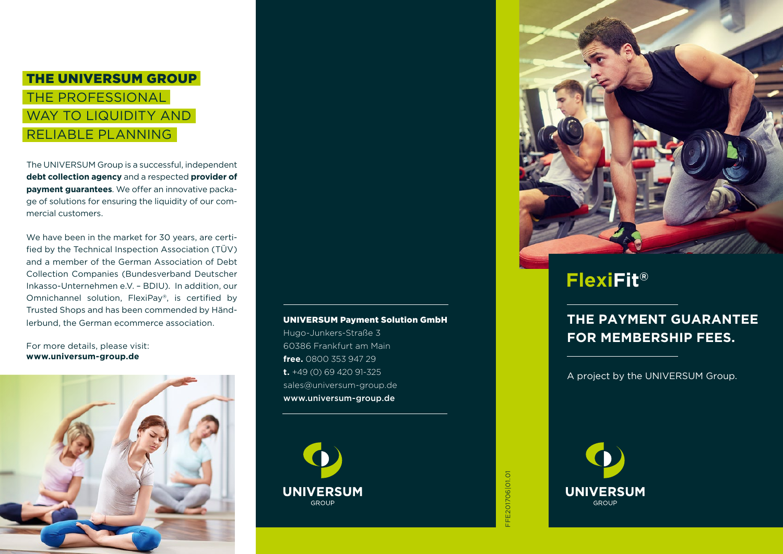# THE UNIVERSUM GROUP THE PROFESSIONAL WAY TO LIQUIDITY AND RELIABLE PLANNING

The UNIVERSUM Group is a successful, independent **debt collection agency** and a respected **provider of payment guarantees**. We offer an innovative package of solutions for ensuring the liquidity of our commercial customers.

We have been in the market for 30 years, are certified by the Technical Inspection Association (TÜV) and a member of the German Association of Debt Collection Companies (Bundesverband Deutscher Inkasso-Unternehmen e.V. – BDIU). In addition, our Omnichannel solution, FlexiPay®, is certified by Trusted Shops and has been commended by Händlerbund, the German ecommerce association.

#### For more details, please visit: **www.universum-group.de**



### UNIVERSUM Payment Solution GmbH

Hugo-Junkers-Straße 3 60386 Frankfurt am Main **free.** 0800 353 947 29 **t.** +49 (0) 69 420 91-325 sales@universum-group.de www.universum-group.de







# **FlexiFit®**

### **THE PAYMENT GUARANTEE FOR MEMBERSHIP FEES.**

A project by the UNIVERSUM Group.